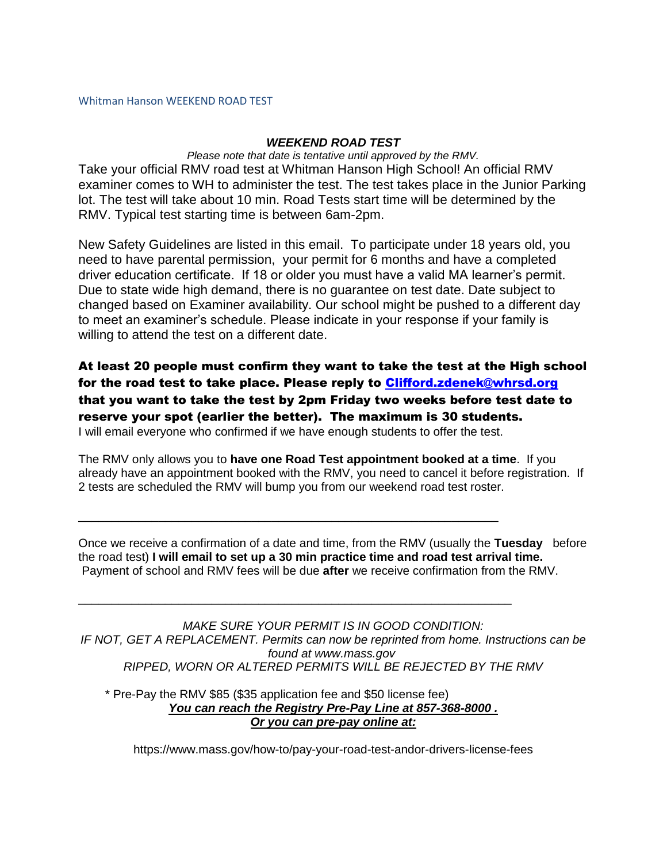## Whitman Hanson WEEKEND ROAD TEST

## *WEEKEND ROAD TEST*

*Please note that date is tentative until approved by the RMV.* Take your official RMV road test at Whitman Hanson High School! An official RMV examiner comes to WH to administer the test. The test takes place in the Junior Parking lot. The test will take about 10 min. Road Tests start time will be determined by the RMV. Typical test starting time is between 6am-2pm.

New Safety Guidelines are listed in this email. To participate under 18 years old, you need to have parental permission, your permit for 6 months and have a completed driver education certificate. If 18 or older you must have a valid MA learner's permit. Due to state wide high demand, there is no guarantee on test date. Date subject to changed based on Examiner availability. Our school might be pushed to a different day to meet an examiner's schedule. Please indicate in your response if your family is willing to attend the test on a different date.

At least 20 people must confirm they want to take the test at the High school for the road test to take place. Please reply to [Clifford.zdenek@whrsd.org](mailto:Clifford.zdenek@whrsd.org) that you want to take the test by 2pm Friday two weeks before test date to reserve your spot (earlier the better). The maximum is 30 students. I will email everyone who confirmed if we have enough students to offer the test.

The RMV only allows you to **have one Road Test appointment booked at a time**. If you already have an appointment booked with the RMV, you need to cancel it before registration. If 2 tests are scheduled the RMV will bump you from our weekend road test roster.

Once we receive a confirmation of a date and time, from the RMV (usually the **Tuesday** before the road test) **I will email to set up a 30 min practice time and road test arrival time.** Payment of school and RMV fees will be due **after** we receive confirmation from the RMV.

*MAKE SURE YOUR PERMIT IS IN GOOD CONDITION: IF NOT, GET A REPLACEMENT. Permits can now be reprinted from home. Instructions can be found at www.mass.gov RIPPED, WORN OR ALTERED PERMITS WILL BE REJECTED BY THE RMV*

 \* Pre-Pay the RMV \$85 (\$35 application fee and \$50 license fee) *You can reach the Registry Pre-Pay Line at 857-368-8000 . Or you can pre-pay online at:*

\_\_\_\_\_\_\_\_\_\_\_\_\_\_\_\_\_\_\_\_\_\_\_\_\_\_\_\_\_\_\_\_\_\_\_\_\_\_\_\_\_\_\_\_\_\_\_\_\_\_\_\_\_\_\_\_\_\_\_\_\_\_\_

\_\_\_\_\_\_\_\_\_\_\_\_\_\_\_\_\_\_\_\_\_\_\_\_\_\_\_\_\_\_\_\_\_\_\_\_\_\_\_\_\_\_\_\_\_\_\_\_\_\_\_\_\_\_\_\_\_\_\_\_\_\_\_\_\_

https://www.mass.gov/how-to/pay-your-road-test-andor-drivers-license-fees